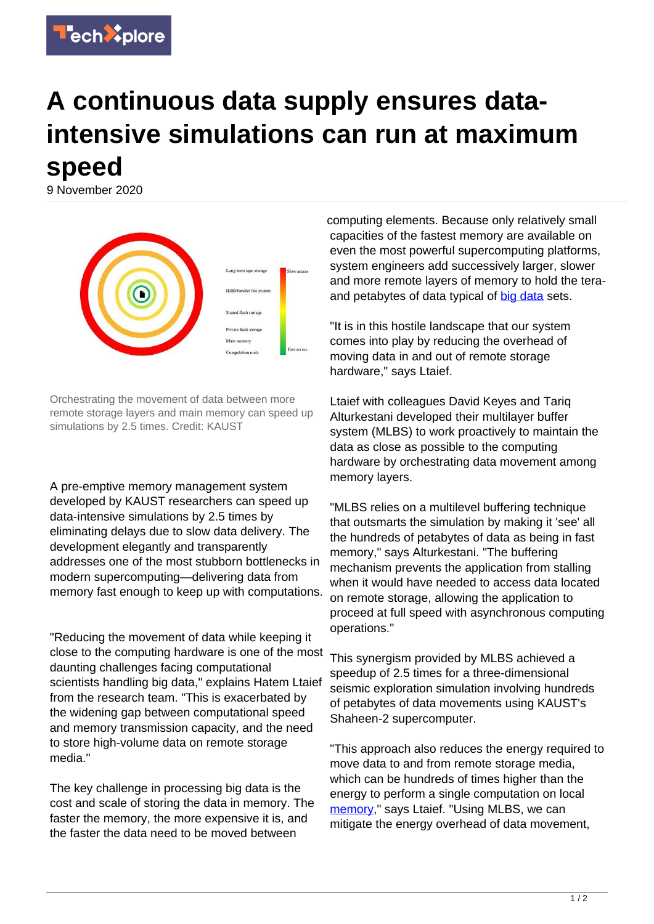

## **A continuous data supply ensures dataintensive simulations can run at maximum speed**

9 November 2020



Orchestrating the movement of data between more remote storage layers and main memory can speed up simulations by 2.5 times. Credit: KAUST

A pre-emptive memory management system developed by KAUST researchers can speed up data-intensive simulations by 2.5 times by eliminating delays due to slow data delivery. The development elegantly and transparently addresses one of the most stubborn bottlenecks in modern supercomputing—delivering data from memory fast enough to keep up with computations.

"Reducing the movement of data while keeping it close to the computing hardware is one of the most daunting challenges facing computational scientists handling big data," explains Hatem Ltaief from the research team. "This is exacerbated by the widening gap between computational speed and memory transmission capacity, and the need to store high-volume data on remote storage media."

The key challenge in processing big data is the cost and scale of storing the data in memory. The faster the memory, the more expensive it is, and the faster the data need to be moved between

computing elements. Because only relatively small capacities of the fastest memory are available on even the most powerful supercomputing platforms, system engineers add successively larger, slower and more remote layers of memory to hold the teraand petabytes of data typical of [big data](https://techxplore.com/tags/big+data/) sets.

"It is in this hostile landscape that our system comes into play by reducing the overhead of moving data in and out of remote storage hardware," says Ltaief.

Ltaief with colleagues David Keyes and Tariq Alturkestani developed their multilayer buffer system (MLBS) to work proactively to maintain the data as close as possible to the computing hardware by orchestrating data movement among memory layers.

"MLBS relies on a multilevel buffering technique that outsmarts the simulation by making it 'see' all the hundreds of petabytes of data as being in fast memory," says Alturkestani. "The buffering mechanism prevents the application from stalling when it would have needed to access data located on remote storage, allowing the application to proceed at full speed with asynchronous computing operations."

This synergism provided by MLBS achieved a speedup of 2.5 times for a three-dimensional seismic exploration simulation involving hundreds of petabytes of data movements using KAUST's Shaheen-2 supercomputer.

"This approach also reduces the energy required to move data to and from remote storage media, which can be hundreds of times higher than the energy to perform a single computation on local [memory](https://techxplore.com/tags/memory/)," says Ltaief. "Using MLBS, we can mitigate the energy overhead of data movement,